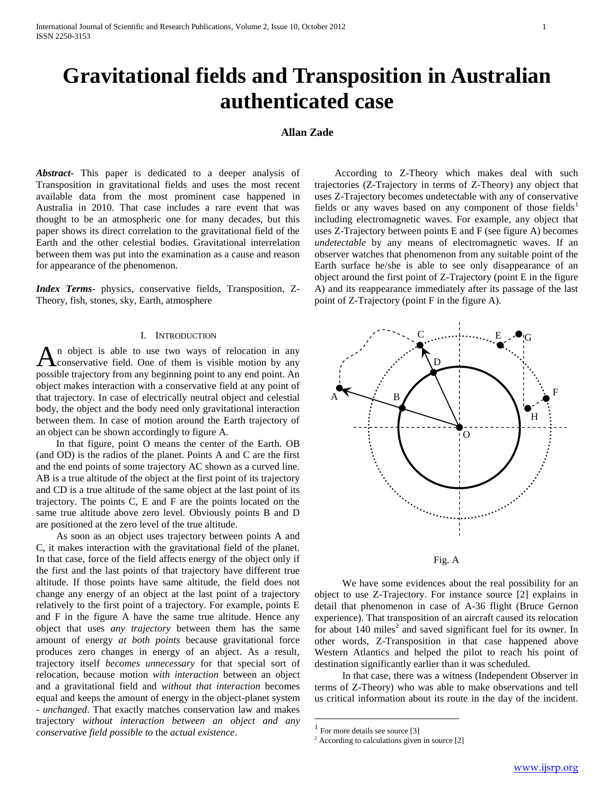# **Gravitational fields and Transposition in Australian authenticated case**

## **Allan Zade**

*Abstract***-** This paper is dedicated to a deeper analysis of Transposition in gravitational fields and uses the most recent available data from the most prominent case happened in Australia in 2010. That case includes a rare event that was thought to be an atmospheric one for many decades, but this paper shows its direct correlation to the gravitational field of the Earth and the other celestial bodies. Gravitational interrelation between them was put into the examination as a cause and reason for appearance of the phenomenon.

*Index Terms*- physics, conservative fields, Transposition, Z-Theory, fish, stones, sky, Earth, atmosphere

#### I. INTRODUCTION

n object is able to use two ways of relocation in any An object is able to use two ways of relocation in any conservative field. One of them is visible motion by any possible trajectory from any beginning point to any end point. An object makes interaction with a conservative field at any point of that trajectory. In case of electrically neutral object and celestial body, the object and the body need only gravitational interaction between them. In case of motion around the Earth trajectory of an object can be shown accordingly to figure A.

 In that figure, point O means the center of the Earth. OB (and OD) is the radios of the planet. Points A and C are the first and the end points of some trajectory AC shown as a curved line. AB is a true altitude of the object at the first point of its trajectory and CD is a true altitude of the same object at the last point of its trajectory. The points C, E and F are the points located on the same true altitude above zero level. Obviously points B and D are positioned at the zero level of the true altitude.

 As soon as an object uses trajectory between points A and C, it makes interaction with the gravitational field of the planet. In that case, force of the field affects energy of the object only if the first and the last points of that trajectory have different true altitude. If those points have same altitude, the field does not change any energy of an object at the last point of a trajectory relatively to the first point of a trajectory. For example, points E and F in the figure A have the same true altitude. Hence any object that uses *any trajectory* between them has the same amount of energy *at both points* because gravitational force produces zero changes in energy of an abject. As a result, trajectory itself *becomes unnecessary* for that special sort of relocation, because motion *with interaction* between an object and a gravitational field and *without that interaction* becomes equal and keeps the amount of energy in the object-planet system - *unchanged*. That exactly matches conservation law and makes trajectory *without interaction between an object and any conservative field possible to* the *actual existence*.

 According to Z-Theory which makes deal with such trajectories (Z-Trajectory in terms of Z-Theory) any object that uses Z-Trajectory becomes undetectable with any of conservative fields or any waves based on any component of those fields<sup>1</sup> including electromagnetic waves. For example, any object that uses Z-Trajectory between points E and F (see figure A) becomes *undetectable* by any means of electromagnetic waves. If an observer watches that phenomenon from any suitable point of the Earth surface he/she is able to see only disappearance of an object around the first point of Z-Trajectory (point E in the figure A) and its reappearance immediately after its passage of the last point of Z-Trajectory (point F in the figure A).





 We have some evidences about the real possibility for an object to use Z-Trajectory. For instance source [2] explains in detail that phenomenon in case of A-36 flight (Bruce Gernon experience). That transposition of an aircraft caused its relocation for about  $140$  miles<sup>2</sup> and saved significant fuel for its owner. In other words, Z-Transposition in that case happened above Western Atlantics and helped the pilot to reach his point of destination significantly earlier than it was scheduled.

 In that case, there was a witness (Independent Observer in terms of Z-Theory) who was able to make observations and tell us critical information about its route in the day of the incident.

<sup>1</sup> For more details see source [3]

<sup>2</sup> According to calculations given in source [2]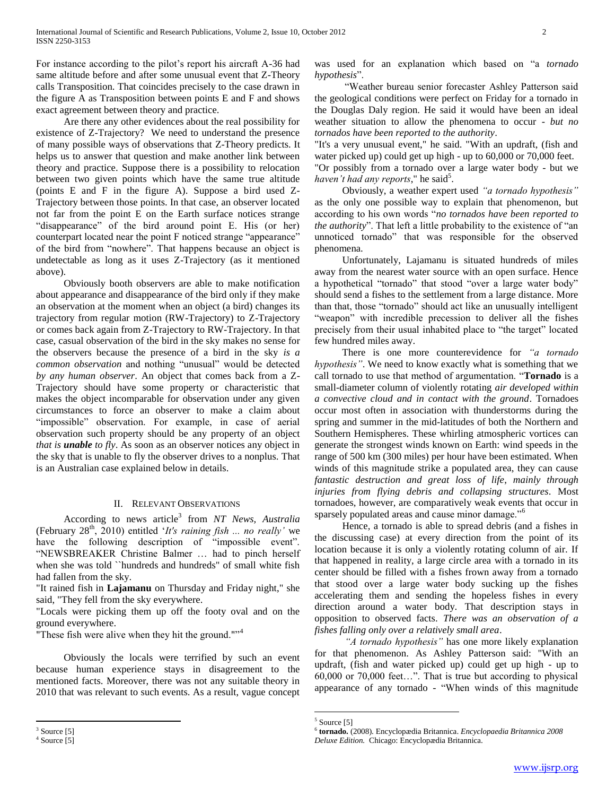For instance according to the pilot's report his aircraft A-36 had same altitude before and after some unusual event that Z-Theory calls Transposition. That coincides precisely to the case drawn in the figure A as Transposition between points E and F and shows exact agreement between theory and practice.

 Are there any other evidences about the real possibility for existence of Z-Trajectory? We need to understand the presence of many possible ways of observations that Z-Theory predicts. It helps us to answer that question and make another link between theory and practice. Suppose there is a possibility to relocation between two given points which have the same true altitude (points E and F in the figure A). Suppose a bird used Z-Trajectory between those points. In that case, an observer located not far from the point E on the Earth surface notices strange "disappearance" of the bird around point E. His (or her) counterpart located near the point F noticed strange "appearance" of the bird from "nowhere". That happens because an object is undetectable as long as it uses Z-Trajectory (as it mentioned above).

 Obviously booth observers are able to make notification about appearance and disappearance of the bird only if they make an observation at the moment when an object (a bird) changes its trajectory from regular motion (RW-Trajectory) to Z-Trajectory or comes back again from Z-Trajectory to RW-Trajectory. In that case, casual observation of the bird in the sky makes no sense for the observers because the presence of a bird in the sky *is a common observation* and nothing "unusual" would be detected *by any human observer*. An object that comes back from a Z-Trajectory should have some property or characteristic that makes the object incomparable for observation under any given circumstances to force an observer to make a claim about "impossible" observation. For example, in case of aerial observation such property should be any property of an object *that is unable to fly*. As soon as an observer notices any object in the sky that is unable to fly the observer drives to a nonplus. That is an Australian case explained below in details.

## II. RELEVANT OBSERVATIONS

 According to news article<sup>3</sup> from *NT News, Australia* (February  $28^{th}$ , 2010) entitled '*It's raining fish ... no really'* we have the following description of "impossible event". "NEWSBREAKER Christine Balmer … had to pinch herself when she was told ``hundreds and hundreds" of small white fish had fallen from the sky.

"It rained fish in **Lajamanu** on Thursday and Friday night," she said, "They fell from the sky everywhere.

"Locals were picking them up off the footy oval and on the ground everywhere.

"These fish were alive when they hit the ground.""<sup>4</sup>

 Obviously the locals were terrified by such an event because human experience stays in disagreement to the mentioned facts. Moreover, there was not any suitable theory in 2010 that was relevant to such events. As a result, vague concept

 $\overline{a}$ 

was used for an explanation which based on "a *tornado hypothesis*".

 "Weather bureau senior forecaster Ashley Patterson said the geological conditions were perfect on Friday for a tornado in the Douglas Daly region. He said it would have been an ideal weather situation to allow the phenomena to occur - *but no tornados have been reported to the authority*.

"It's a very unusual event," he said. "With an updraft, (fish and water picked up) could get up high - up to 60,000 or 70,000 feet.

"Or possibly from a tornado over a large water body - but we haven't had any reports," he said<sup>5</sup>.

 Obviously, a weather expert used *"a tornado hypothesis"* as the only one possible way to explain that phenomenon, but according to his own words "*no tornados have been reported to the authority*". That left a little probability to the existence of "an unnoticed tornado" that was responsible for the observed phenomena.

 Unfortunately, Lajamanu is situated hundreds of miles away from the nearest water source with an open surface. Hence a hypothetical "tornado" that stood "over a large water body" should send a fishes to the settlement from a large distance. More than that, those "tornado" should act like an unusually intelligent "weapon" with incredible precession to deliver all the fishes precisely from their usual inhabited place to "the target" located few hundred miles away.

 There is one more counterevidence for *"a tornado hypothesis"*. We need to know exactly what is something that we call tornado to use that method of argumentation. "**Tornado** is a small-diameter column of violently rotating *air developed within a convective cloud and in contact with the ground*. Tornadoes occur most often in association with thunderstorms during the spring and summer in the mid-latitudes of both the Northern and Southern Hemispheres. These whirling atmospheric vortices can generate the strongest winds known on Earth: wind speeds in the range of 500 km (300 miles) per hour have been estimated. When winds of this magnitude strike a populated area, they can cause *fantastic destruction and great loss of life*, *mainly through injuries from flying debris and collapsing structures*. Most tornadoes, however, are comparatively weak events that occur in sparsely populated areas and cause minor damage."<sup>6</sup>

 Hence, a tornado is able to spread debris (and a fishes in the discussing case) at every direction from the point of its location because it is only a violently rotating column of air. If that happened in reality, a large circle area with a tornado in its center should be filled with a fishes frown away from a tornado that stood over a large water body sucking up the fishes accelerating them and sending the hopeless fishes in every direction around a water body. That description stays in opposition to observed facts. *There was an observation of a fishes falling only over a relatively small area*.

 *"A tornado hypothesis"* has one more likely explanation for that phenomenon. As Ashley Patterson said: "With an updraft, (fish and water picked up) could get up high - up to 60,000 or 70,000 feet…". That is true but according to physical appearance of any tornado - "When winds of this magnitude

 $3$  Source [5]

<sup>4</sup> Source [5]

<sup>5</sup> Source [5]

<sup>6</sup> **tornado.** (2008). Encyclopædia Britannica. *Encyclopaedia Britannica 2008 Deluxe Edition.* Chicago: Encyclopædia Britannica.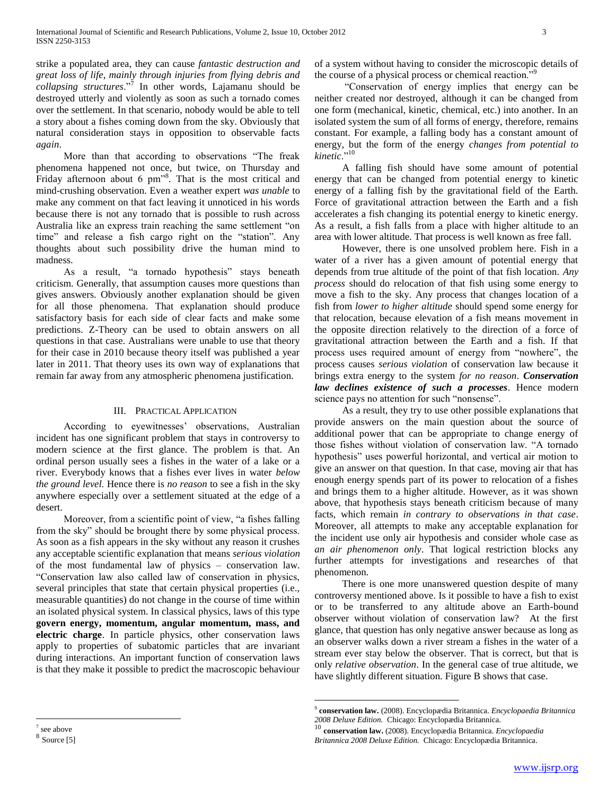strike a populated area, they can cause *fantastic destruction and great loss of life*, *mainly through injuries from flying debris and collapsing structures*."<sup>7</sup> In other words, Lajamanu should be destroyed utterly and violently as soon as such a tornado comes over the settlement. In that scenario, nobody would be able to tell a story about a fishes coming down from the sky. Obviously that natural consideration stays in opposition to observable facts *again*.

 More than that according to observations "The freak phenomena happened not once, but twice, on Thursday and Friday afternoon about 6 pm"<sup>8</sup>. That is the most critical and mind-crushing observation. Even a weather expert *was unable* to make any comment on that fact leaving it unnoticed in his words because there is not any tornado that is possible to rush across Australia like an express train reaching the same settlement "on time" and release a fish cargo right on the "station". Any thoughts about such possibility drive the human mind to madness.

 As a result, "a tornado hypothesis" stays beneath criticism. Generally, that assumption causes more questions than gives answers. Obviously another explanation should be given for all those phenomena. That explanation should produce satisfactory basis for each side of clear facts and make some predictions. Z-Theory can be used to obtain answers on all questions in that case. Australians were unable to use that theory for their case in 2010 because theory itself was published a year later in 2011. That theory uses its own way of explanations that remain far away from any atmospheric phenomena justification.

### III. PRACTICAL APPLICATION

According to eyewitnesses' observations, Australian incident has one significant problem that stays in controversy to modern science at the first glance. The problem is that. An ordinal person usually sees a fishes in the water of a lake or a river. Everybody knows that a fishes ever lives in water *below the ground level.* Hence there is *no reason* to see a fish in the sky anywhere especially over a settlement situated at the edge of a desert.

 Moreover, from a scientific point of view, "a fishes falling from the sky" should be brought there by some physical process. As soon as a fish appears in the sky without any reason it crushes any acceptable scientific explanation that means *serious violation* of the most fundamental law of physics – conservation law. "Conservation law also called law of conservation in physics, several principles that state that certain physical properties (i.e., measurable quantities) do not change in the course of time within an isolated physical system. In classical physics, laws of this type **govern energy, momentum, angular momentum, mass, and electric charge**. In particle physics, other conservation laws apply to properties of subatomic particles that are invariant during interactions. An important function of conservation laws is that they make it possible to predict the macroscopic behaviour of a system without having to consider the microscopic details of the course of a physical process or chemical reaction."

 "Conservation of energy implies that energy can be neither created nor destroyed, although it can be changed from one form (mechanical, kinetic, chemical, etc.) into another. In an isolated system the sum of all forms of energy, therefore, remains constant. For example, a falling body has a constant amount of energy, but the form of the energy *changes from potential to kinetic*."<sup>10</sup>

 A falling fish should have some amount of potential energy that can be changed from potential energy to kinetic energy of a falling fish by the gravitational field of the Earth. Force of gravitational attraction between the Earth and a fish accelerates a fish changing its potential energy to kinetic energy. As a result, a fish falls from a place with higher altitude to an area with lower altitude. That process is well known as free fall.

 However, there is one unsolved problem here. Fish in a water of a river has a given amount of potential energy that depends from true altitude of the point of that fish location. *Any process* should do relocation of that fish using some energy to move a fish to the sky. Any process that changes location of a fish from *lower to higher altitude* should spend some energy for that relocation, because elevation of a fish means movement in the opposite direction relatively to the direction of a force of gravitational attraction between the Earth and a fish. If that process uses required amount of energy from "nowhere", the process causes *serious violation* of conservation law because it brings extra energy to the system *for no reason*. *Conservation law declines existence of such a processes*. Hence modern science pays no attention for such "nonsense".

 As a result, they try to use other possible explanations that provide answers on the main question about the source of additional power that can be appropriate to change energy of those fishes without violation of conservation law. "A tornado hypothesis" uses powerful horizontal, and vertical air motion to give an answer on that question. In that case, moving air that has enough energy spends part of its power to relocation of a fishes and brings them to a higher altitude. However, as it was shown above, that hypothesis stays beneath criticism because of many facts, which remain *in contrary to observations in that case*. Moreover, all attempts to make any acceptable explanation for the incident use only air hypothesis and consider whole case as *an air phenomenon only*. That logical restriction blocks any further attempts for investigations and researches of that phenomenon.

 There is one more unanswered question despite of many controversy mentioned above. Is it possible to have a fish to exist or to be transferred to any altitude above an Earth-bound observer without violation of conservation law? At the first glance, that question has only negative answer because as long as an observer walks down a river stream a fishes in the water of a stream ever stay below the observer. That is correct, but that is only *relative observation*. In the general case of true altitude, we have slightly different situation. Figure B shows that case.

 $\overline{a}$ 

<sup>9</sup> **conservation law.** (2008). Encyclopædia Britannica. *Encyclopaedia Britannica 2008 Deluxe Edition.* Chicago: Encyclopædia Britannica.

<sup>10</sup> **conservation law.** (2008). Encyclopædia Britannica. *Encyclopaedia Britannica 2008 Deluxe Edition.* Chicago: Encyclopædia Britannica.

<sup>7</sup> see above 8

Source [5]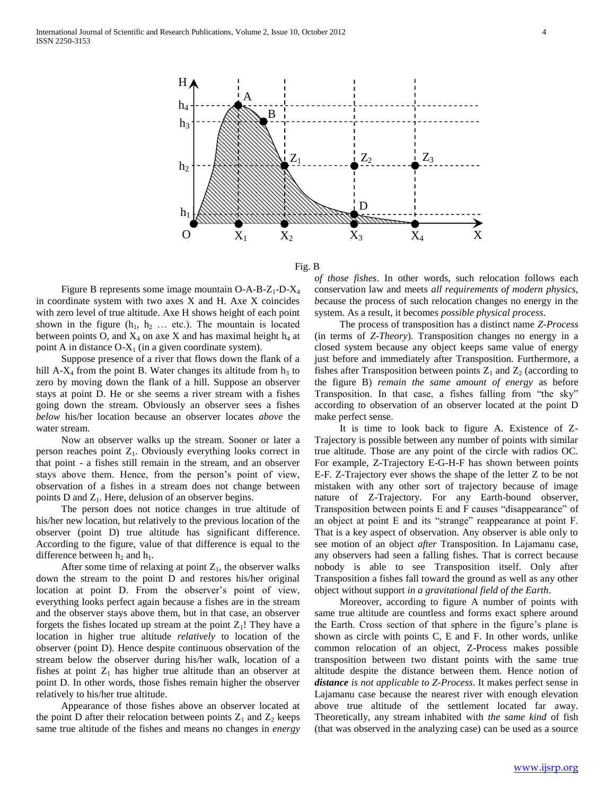



Figure B represents some image mountain  $O-A-B-Z_1-D-X_4$ in coordinate system with two axes X and H. Axe X coincides with zero level of true altitude. Axe H shows height of each point shown in the figure  $(h_1, h_2, \ldots, h_c)$ . The mountain is located between points O, and  $X_4$  on axe X and has maximal height  $h_4$  at point A in distance  $O-X_1$  (in a given coordinate system).

 Suppose presence of a river that flows down the flank of a hill A-X<sub>4</sub> from the point B. Water changes its altitude from  $h_3$  to zero by moving down the flank of a hill. Suppose an observer stays at point D. He or she seems a river stream with a fishes going down the stream. Obviously an observer sees a fishes *below* his/her location because an observer locates *above* the water stream.

 Now an observer walks up the stream. Sooner or later a person reaches point  $Z_1$ . Obviously everything looks correct in that point - a fishes still remain in the stream, and an observer stays above them. Hence, from the person"s point of view, observation of a fishes in a stream does not change between points  $D$  and  $Z_1$ . Here, delusion of an observer begins.

 The person does not notice changes in true altitude of his/her new location, but relatively to the previous location of the observer (point D) true altitude has significant difference. According to the figure, value of that difference is equal to the difference between  $h_2$  and  $h_1$ .

After some time of relaxing at point  $Z_1$ , the observer walks down the stream to the point D and restores his/her original location at point D. From the observer's point of view, everything looks perfect again because a fishes are in the stream and the observer stays above them, but in that case, an observer forgets the fishes located up stream at the point  $Z_1$ ! They have a location in higher true altitude *relatively* to location of the observer (point D). Hence despite continuous observation of the stream below the observer during his/her walk, location of a fishes at point  $Z_1$  has higher true altitude than an observer at point D. In other words, those fishes remain higher the observer relatively to his/her true altitude.

 Appearance of those fishes above an observer located at the point D after their relocation between points  $Z_1$  and  $Z_2$  keeps same true altitude of the fishes and means no changes in *energy*  *of those fishes*. In other words, such relocation follows each conservation law and meets *all requirements of modern physics, b*ecause the process of such relocation changes no energy in the system. As a result, it becomes *possible physical process*.

 The process of transposition has a distinct name *Z-Process* (in terms of *Z-Theory*). Transposition changes no energy in a closed system because any object keeps same value of energy just before and immediately after Transposition. Furthermore, a fishes after Transposition between points  $Z_1$  and  $Z_2$  (according to the figure B) *remain the same amount of energy* as before Transposition. In that case, a fishes falling from "the sky" according to observation of an observer located at the point D make perfect sense.

 It is time to look back to figure A. Existence of Z-Trajectory is possible between any number of points with similar true altitude. Those are any point of the circle with radios OC. For example, Z-Trajectory E-G-H-F has shown between points E-F. Z-Trajectory ever shows the shape of the letter Z to be not mistaken with any other sort of trajectory because of image nature of Z-Trajectory. For any Earth-bound observer, Transposition between points E and F causes "disappearance" of an object at point E and its "strange" reappearance at point F. That is a key aspect of observation. Any observer is able only to see motion of an object *after* Transposition. In Lajamanu case, any observers had seen a falling fishes. That is correct because nobody is able to see Transposition itself. Only after Transposition a fishes fall toward the ground as well as any other object without support *in a gravitational field of the Earth*.

 Moreover, according to figure A number of points with same true altitude are countless and forms exact sphere around the Earth. Cross section of that sphere in the figure"s plane is shown as circle with points C, E and F. In other words, unlike common relocation of an object, Z-Process makes possible transposition between two distant points with the same true altitude despite the distance between them. Hence notion of *distance is not applicable to Z-Process*. It makes perfect sense in Lajamanu case because the nearest river with enough elevation above true altitude of the settlement located far away. Theoretically, any stream inhabited with *the same kind* of fish (that was observed in the analyzing case) can be used as a source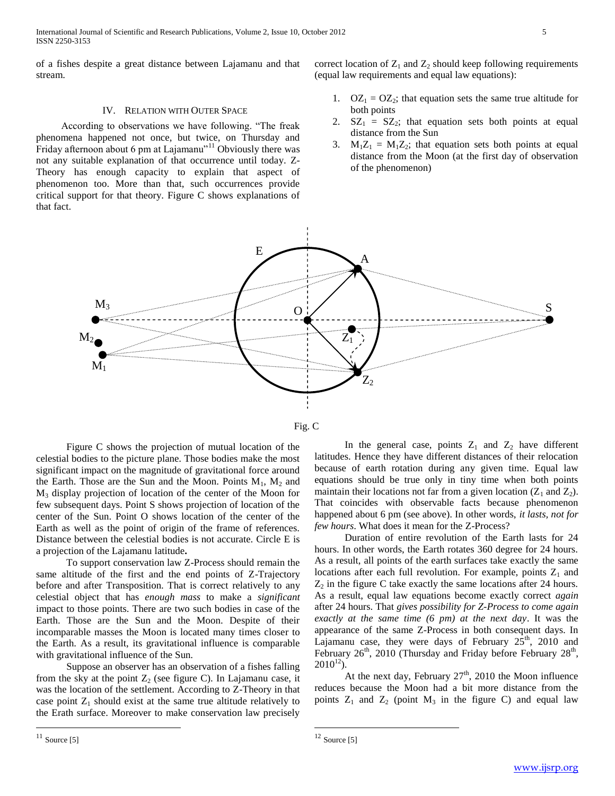International Journal of Scientific and Research Publications, Volume 2, Issue 10, October 2012 5 ISSN 2250-3153

of a fishes despite a great distance between Lajamanu and that stream.

### IV. RELATION WITH OUTER SPACE

 According to observations we have following. "The freak phenomena happened not once, but twice, on Thursday and Friday afternoon about 6 pm at Lajamanu"<sup>11</sup> Obviously there was not any suitable explanation of that occurrence until today. Z-Theory has enough capacity to explain that aspect of phenomenon too. More than that, such occurrences provide critical support for that theory. Figure C shows explanations of that fact.

correct location of  $Z_1$  and  $Z_2$  should keep following requirements (equal law requirements and equal law equations):

- 1.  $OZ_1 = OZ_2$ ; that equation sets the same true altitude for both points
- 2.  $SZ_1 = SZ_2$ ; that equation sets both points at equal distance from the Sun
- 3.  $M_1Z_1 = M_1Z_2$ ; that equation sets both points at equal distance from the Moon (at the first day of observation of the phenomenon)





 Figure C shows the projection of mutual location of the celestial bodies to the picture plane. Those bodies make the most significant impact on the magnitude of gravitational force around the Earth. Those are the Sun and the Moon. Points  $M_1$ ,  $M_2$  and M<sup>3</sup> display projection of location of the center of the Moon for few subsequent days. Point S shows projection of location of the center of the Sun. Point O shows location of the center of the Earth as well as the point of origin of the frame of references. Distance between the celestial bodies is not accurate. Circle E is a projection of the Lajamanu latitude**.**

 To support conservation law Z-Process should remain the same altitude of the first and the end points of Z-Trajectory before and after Transposition. That is correct relatively to any celestial object that has *enough mass* to make a *significant* impact to those points. There are two such bodies in case of the Earth. Those are the Sun and the Moon. Despite of their incomparable masses the Moon is located many times closer to the Earth. As a result, its gravitational influence is comparable with gravitational influence of the Sun.

 Suppose an observer has an observation of a fishes falling from the sky at the point  $Z_2$  (see figure C). In Lajamanu case, it was the location of the settlement. According to Z-Theory in that case point  $Z_1$  should exist at the same true altitude relatively to the Erath surface. Moreover to make conservation law precisely

In the general case, points  $Z_1$  and  $Z_2$  have different latitudes. Hence they have different distances of their relocation because of earth rotation during any given time. Equal law equations should be true only in tiny time when both points maintain their locations not far from a given location  $(Z_1 \text{ and } Z_2)$ . That coincides with observable facts because phenomenon happened about 6 pm (see above). In other words, *it lasts, not for few hours*. What does it mean for the Z-Process?

 Duration of entire revolution of the Earth lasts for 24 hours. In other words, the Earth rotates 360 degree for 24 hours. As a result, all points of the earth surfaces take exactly the same locations after each full revolution. For example, points  $Z_1$  and  $Z_2$  in the figure C take exactly the same locations after 24 hours. As a result, equal law equations become exactly correct *again* after 24 hours. That *gives possibility for Z-Process to come again exactly at the same time (6 pm) at the next day*. It was the appearance of the same Z-Process in both consequent days. In Lajamanu case, they were days of February  $25<sup>th</sup>$ , 2010 and February  $26<sup>th</sup>$ , 2010 (Thursday and Friday before February  $28<sup>th</sup>$ ,  $2010^{12}$ ).

At the next day, February  $27<sup>th</sup>$ , 2010 the Moon influence reduces because the Moon had a bit more distance from the points  $Z_1$  and  $Z_2$  (point  $M_3$  in the figure C) and equal law

| Source [5] |
|------------|

 $12$  Source [5]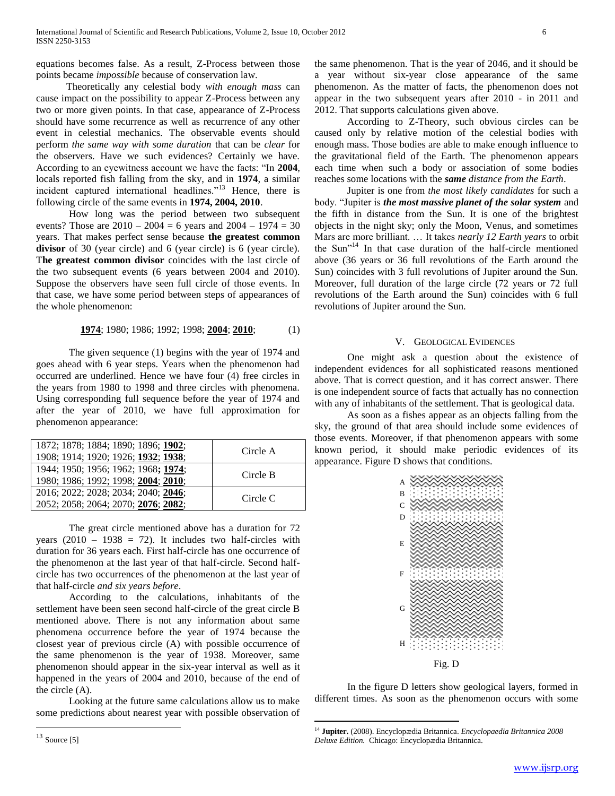equations becomes false. As a result, Z-Process between those points became *impossible* because of conservation law.

 Theoretically any celestial body *with enough mass* can cause impact on the possibility to appear Z-Process between any two or more given points. In that case, appearance of Z-Process should have some recurrence as well as recurrence of any other event in celestial mechanics. The observable events should perform *the same way with some duration* that can be *clear* for the observers. Have we such evidences? Certainly we have. According to an eyewitness account we have the facts: "In **2004**, locals reported fish falling from the sky, and in **1974**, a similar incident captured international headlines."<sup>13</sup> Hence, there is following circle of the same events in **1974, 2004, 2010**.

 How long was the period between two subsequent events? Those are  $2010 - 2004 = 6$  years and  $2004 - 1974 = 30$ years. That makes perfect sense because **the greatest common divisor** of 30 (year circle) and 6 (year circle) is 6 (year circle). T**he greatest common divisor** coincides with the last circle of the two subsequent events (6 years between 2004 and 2010). Suppose the observers have seen full circle of those events. In that case, we have some period between steps of appearances of the whole phenomenon:

$$
1974; 1980; 1986; 1992; 1998; 2004; 2010; (1)
$$

 The given sequence (1) begins with the year of 1974 and goes ahead with 6 year steps. Years when the phenomenon had occurred are underlined. Hence we have four (4) free circles in the years from 1980 to 1998 and three circles with phenomena. Using corresponding full sequence before the year of 1974 and after the year of 2010, we have full approximation for phenomenon appearance:

| 1872; 1878; 1884; 1890; 1896; 1902;<br>1908; 1914; 1920; 1926; 1932; 1938; | Circle A |
|----------------------------------------------------------------------------|----------|
| 1944; 1950; 1956; 1962; 1968; 1974;<br>1980; 1986; 1992; 1998; 2004; 2010; | Circle B |
| 2016; 2022; 2028; 2034; 2040; 2046;<br>2052; 2058; 2064; 2070; 2076; 2082; | Circle C |

 The great circle mentioned above has a duration for 72 years  $(2010 - 1938 = 72)$ . It includes two half-circles with duration for 36 years each. First half-circle has one occurrence of the phenomenon at the last year of that half-circle. Second halfcircle has two occurrences of the phenomenon at the last year of that half-circle *and six years before*.

 According to the calculations, inhabitants of the settlement have been seen second half-circle of the great circle B mentioned above. There is not any information about same phenomena occurrence before the year of 1974 because the closest year of previous circle (A) with possible occurrence of the same phenomenon is the year of 1938. Moreover, same phenomenon should appear in the six-year interval as well as it happened in the years of 2004 and 2010, because of the end of the circle (A).

 Looking at the future same calculations allow us to make some predictions about nearest year with possible observation of

 $\overline{a}$ 

the same phenomenon. That is the year of 2046, and it should be a year without six-year close appearance of the same phenomenon. As the matter of facts, the phenomenon does not appear in the two subsequent years after 2010 - in 2011 and 2012. That supports calculations given above.

 According to Z-Theory, such obvious circles can be caused only by relative motion of the celestial bodies with enough mass. Those bodies are able to make enough influence to the gravitational field of the Earth. The phenomenon appears each time when such a body or association of some bodies reaches some locations with the *same distance from the Earth*.

 Jupiter is one from *the most likely candidates* for such a body. "Jupiter is *the most massive planet of the solar system* and the fifth in distance from the Sun. It is one of the brightest objects in the night sky; only the Moon, Venus, and sometimes Mars are more brilliant. … It takes *nearly 12 Earth years* to orbit the Sun"<sup>14</sup> In that case duration of the half-circle mentioned above (36 years or 36 full revolutions of the Earth around the Sun) coincides with 3 full revolutions of Jupiter around the Sun. Moreover, full duration of the large circle (72 years or 72 full revolutions of the Earth around the Sun) coincides with 6 full revolutions of Jupiter around the Sun.

#### V. GEOLOGICAL EVIDENCES

 One might ask a question about the existence of independent evidences for all sophisticated reasons mentioned above. That is correct question, and it has correct answer. There is one independent source of facts that actually has no connection with any of inhabitants of the settlement. That is geological data.

 As soon as a fishes appear as an objects falling from the sky, the ground of that area should include some evidences of those events. Moreover, if that phenomenon appears with some known period, it should make periodic evidences of its appearance. Figure D shows that conditions.



 In the figure D letters show geological layers, formed in different times. As soon as the phenomenon occurs with some

 $13$  Source [5]

<sup>14</sup> **Jupiter.** (2008). Encyclopædia Britannica. *Encyclopaedia Britannica 2008 Deluxe Edition.* Chicago: Encyclopædia Britannica.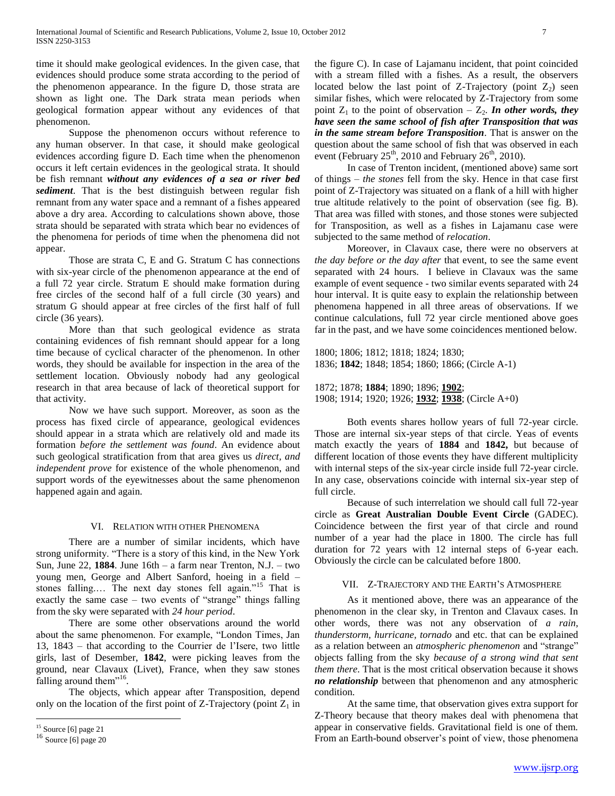time it should make geological evidences. In the given case, that evidences should produce some strata according to the period of the phenomenon appearance. In the figure D, those strata are shown as light one. The Dark strata mean periods when geological formation appear without any evidences of that phenomenon.

 Suppose the phenomenon occurs without reference to any human observer. In that case, it should make geological evidences according figure D. Each time when the phenomenon occurs it left certain evidences in the geological strata. It should be fish remnant *without any evidences of a sea or river bed sediment*. That is the best distinguish between regular fish remnant from any water space and a remnant of a fishes appeared above a dry area. According to calculations shown above, those strata should be separated with strata which bear no evidences of the phenomena for periods of time when the phenomena did not appear.

 Those are strata C, E and G. Stratum C has connections with six-year circle of the phenomenon appearance at the end of a full 72 year circle. Stratum E should make formation during free circles of the second half of a full circle (30 years) and stratum G should appear at free circles of the first half of full circle (36 years).

 More than that such geological evidence as strata containing evidences of fish remnant should appear for a long time because of cyclical character of the phenomenon. In other words, they should be available for inspection in the area of the settlement location. Obviously nobody had any geological research in that area because of lack of theoretical support for that activity.

 Now we have such support. Moreover, as soon as the process has fixed circle of appearance, geological evidences should appear in a strata which are relatively old and made its formation *before the settlement was found*. An evidence about such geological stratification from that area gives us *direct, and independent prove* for existence of the whole phenomenon, and support words of the eyewitnesses about the same phenomenon happened again and again.

#### VI. RELATION WITH OTHER PHENOMENA

 There are a number of similar incidents, which have strong uniformity. "There is a story of this kind, in the New York Sun, June 22, **1884**. June 16th – a farm near Trenton, N.J. – two young men, George and Albert Sanford, hoeing in a field – stones falling.... The next day stones fell again."<sup>15</sup> That is exactly the same case – two events of "strange" things falling from the sky were separated with *24 hour period*.

 There are some other observations around the world about the same phenomenon. For example, "London Times, Jan 13, 1843 – that according to the Courrier de l"Isere, two little girls, last of Desember, **1842**, were picking leaves from the ground, near Clavaux (Livet), France, when they saw stones falling around them"<sup>16</sup>.

 The objects, which appear after Transposition, depend only on the location of the first point of Z-Trajectory (point  $Z_1$  in

 $\overline{a}$ 

the figure C). In case of Lajamanu incident, that point coincided with a stream filled with a fishes. As a result, the observers located below the last point of Z-Trajectory (point  $Z_2$ ) seen similar fishes, which were relocated by Z-Trajectory from some point  $Z_1$  to the point of observation  $-Z_2$ . In other words, they *have seen the same school of fish after Transposition that was in the same stream before Transposition*. That is answer on the question about the same school of fish that was observed in each event (February  $25<sup>th</sup>$ , 2010 and February  $26<sup>th</sup>$ , 2010).

 In case of Trenton incident, (mentioned above) same sort of things – *the stones* fell from the sky. Hence in that case first point of Z-Trajectory was situated on a flank of a hill with higher true altitude relatively to the point of observation (see fig. B). That area was filled with stones, and those stones were subjected for Transposition, as well as a fishes in Lajamanu case were subjected to the same method of *relocation*.

 Moreover, in Clavaux case, there were no observers at *the day before or the day after* that event, to see the same event separated with 24 hours. I believe in Clavaux was the same example of event sequence - two similar events separated with 24 hour interval. It is quite easy to explain the relationship between phenomena happened in all three areas of observations. If we continue calculations, full 72 year circle mentioned above goes far in the past, and we have some coincidences mentioned below.

1800; 1806; 1812; 1818; 1824; 1830; 1836; **1842**; 1848; 1854; 1860; 1866; (Circle A-1)

1872; 1878; **1884**; 1890; 1896; **1902**; 1908; 1914; 1920; 1926; **1932**; **1938**; (Circle A+0)

 Both events shares hollow years of full 72-year circle. Those are internal six-year steps of that circle. Yeas of events match exactly the years of **1884** and **1842,** but because of different location of those events they have different multiplicity with internal steps of the six-year circle inside full 72-year circle. In any case, observations coincide with internal six-year step of full circle.

 Because of such interrelation we should call full 72-year circle as **Great Australian Double Event Circle** (GADEC). Coincidence between the first year of that circle and round number of a year had the place in 1800. The circle has full duration for 72 years with 12 internal steps of 6-year each. Obviously the circle can be calculated before 1800.

### VII. Z-TRAJECTORY AND THE EARTH"S ATMOSPHERE

 As it mentioned above, there was an appearance of the phenomenon in the clear sky, in Trenton and Clavaux cases. In other words, there was not any observation of *a rain, thunderstorm, hurricane, tornado* and etc. that can be explained as a relation between an *atmospheric phenomenon* and "strange" objects falling from the sky *because of a strong wind that sent them there*. That is the most critical observation because it shows *no relationship* between that phenomenon and any atmospheric condition.

 At the same time, that observation gives extra support for Z-Theory because that theory makes deal with phenomena that appear in conservative fields. Gravitational field is one of them. From an Earth-bound observer's point of view, those phenomena

<sup>&</sup>lt;sup>15</sup> Source [6] page 21

 $^{16}$  Source  $\left[ 6\right]$  page  $20$